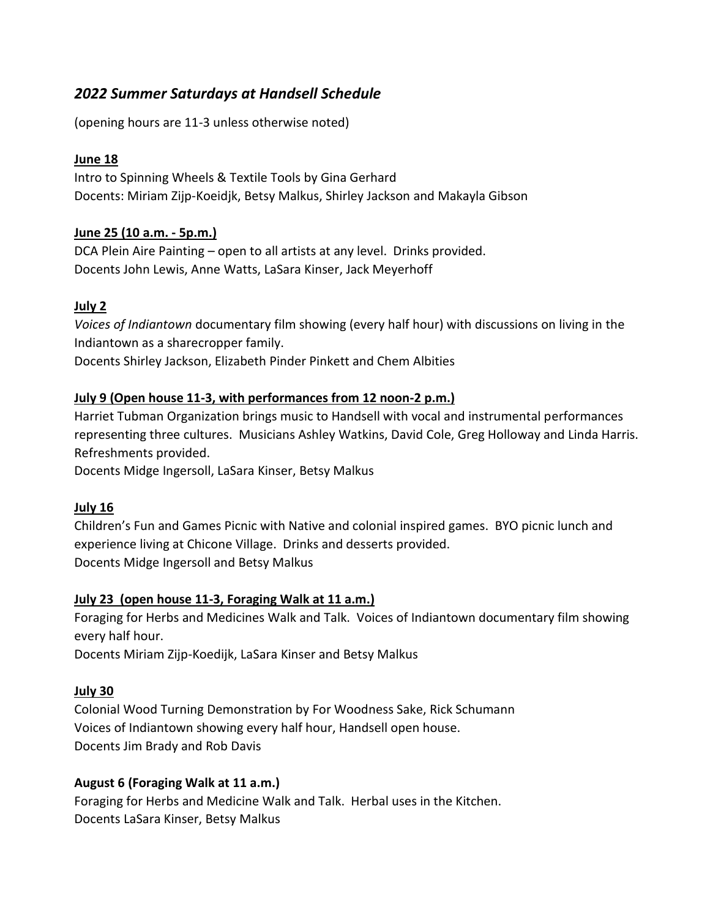# *2022 Summer Saturdays at Handsell Schedule*

(opening hours are 11-3 unless otherwise noted)

### **June 18**

Intro to Spinning Wheels & Textile Tools by Gina Gerhard Docents: Miriam Zijp-Koeidjk, Betsy Malkus, Shirley Jackson and Makayla Gibson

### **June 25 (10 a.m. - 5p.m.)**

DCA Plein Aire Painting – open to all artists at any level. Drinks provided. Docents John Lewis, Anne Watts, LaSara Kinser, Jack Meyerhoff

# **July 2**

*Voices of Indiantown* documentary film showing (every half hour) with discussions on living in the Indiantown as a sharecropper family.

Docents Shirley Jackson, Elizabeth Pinder Pinkett and Chem Albities

### **July 9 (Open house 11-3, with performances from 12 noon-2 p.m.)**

Harriet Tubman Organization brings music to Handsell with vocal and instrumental performances representing three cultures. Musicians Ashley Watkins, David Cole, Greg Holloway and Linda Harris. Refreshments provided.

Docents Midge Ingersoll, LaSara Kinser, Betsy Malkus

#### **July 16**

Children's Fun and Games Picnic with Native and colonial inspired games. BYO picnic lunch and experience living at Chicone Village. Drinks and desserts provided. Docents Midge Ingersoll and Betsy Malkus

#### **July 23 (open house 11-3, Foraging Walk at 11 a.m.)**

Foraging for Herbs and Medicines Walk and Talk. Voices of Indiantown documentary film showing every half hour.

Docents Miriam Zijp-Koedijk, LaSara Kinser and Betsy Malkus

# **July 30**

Colonial Wood Turning Demonstration by For Woodness Sake, Rick Schumann Voices of Indiantown showing every half hour, Handsell open house. Docents Jim Brady and Rob Davis

# **August 6 (Foraging Walk at 11 a.m.)**

Foraging for Herbs and Medicine Walk and Talk. Herbal uses in the Kitchen. Docents LaSara Kinser, Betsy Malkus